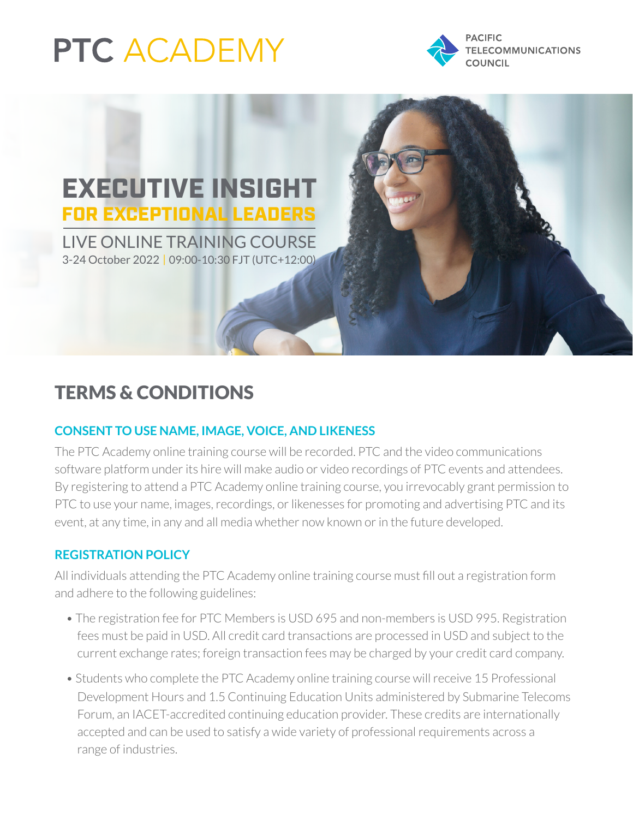# **PTC ACADEMY**





## TERMS & CONDITIONS

### **CONSENT TO USE NAME, IMAGE, VOICE, AND LIKENESS**

The PTC Academy online training course will be recorded. PTC and the video communications software platform under its hire will make audio or video recordings of PTC events and attendees. By registering to attend a PTC Academy online training course, you irrevocably grant permission to PTC to use your name, images, recordings, or likenesses for promoting and advertising PTC and its event, at any time, in any and all media whether now known or in the future developed.

#### **REGISTRATION POLICY**

All individuals attending the PTC Academy online training course must fill out a registration form and adhere to the following guidelines:

- The registration fee for PTC Members is USD 695 and non-members is USD 995. Registration fees must be paid in USD. All credit card transactions are processed in USD and subject to the current exchange rates; foreign transaction fees may be charged by your credit card company.
- Students who complete the PTC Academy online training course will receive 15 Professional Development Hours and 1.5 Continuing Education Units administered by Submarine Telecoms Forum, an IACET-accredited continuing education provider. These credits are internationally accepted and can be used to satisfy a wide variety of professional requirements across a range of industries.